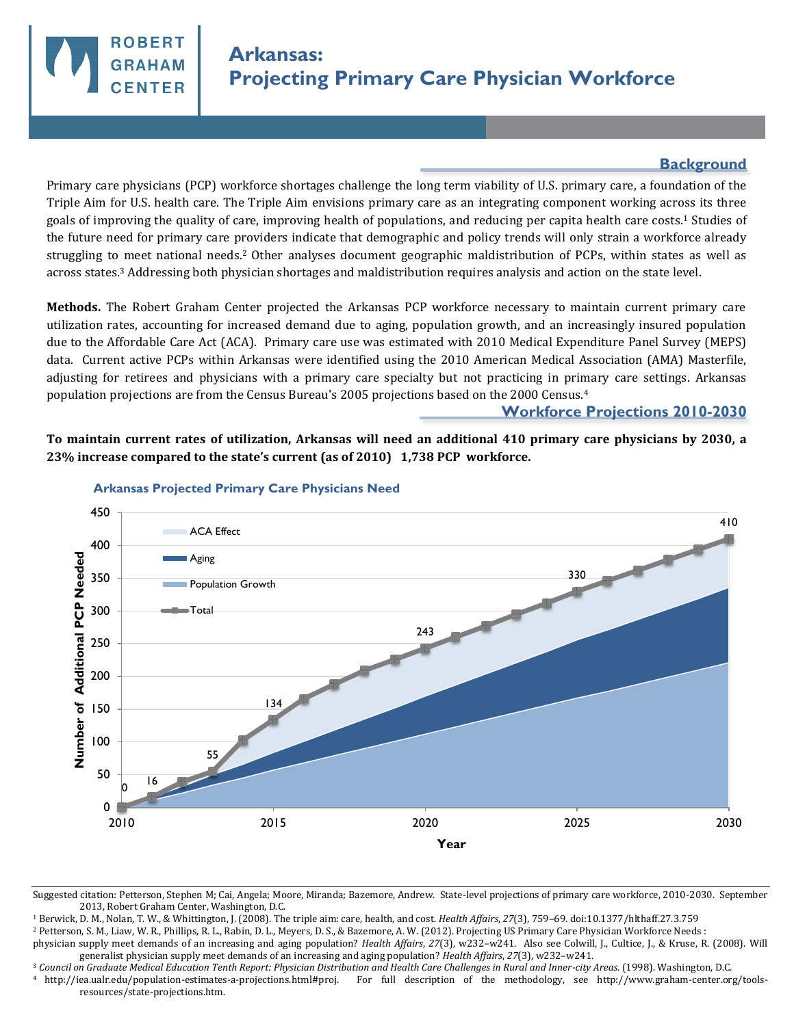

## **Background**

Primary care physicians (PCP) workforce shortages challenge the long term viability of U.S. primary care, a foundation of the Triple Aim for U.S. health care. The Triple Aim envisions primary care as an integrating component working across its three goals of improving the quality of care, improving health of populations, and reducing per capita health care costs.1 Studies of the future need for primary care providers indicate that demographic and policy trends will only strain a workforce already struggling to meet national needs.2 Other analyses document geographic maldistribution of PCPs, within states as well as across states.3 Addressing both physician shortages and maldistribution requires analysis and action on the state level.

**Methods.** The Robert Graham Center projected the Arkansas PCP workforce necessary to maintain current primary care utilization rates, accounting for increased demand due to aging, population growth, and an increasingly insured population due to the Affordable Care Act (ACA). Primary care use was estimated with 2010 Medical Expenditure Panel Survey (MEPS) data. Current active PCPs within Arkansas were identified using the 2010 American Medical Association (AMA) Masterfile, adjusting for retirees and physicians with a primary care specialty but not practicing in primary care settings. Arkansas population projections are from the Census Bureau's 2005 projections based on the 2000 Census.<sup>4</sup>

## **Workforce Projections 2010-2030**

**To maintain current rates of utilization, Arkansas will need an additional 410 primary care physicians by 2030, a 23% increase compared to the state's current (as of 2010) 1,738 PCP workforce.** 



## **Arkansas Projected Primary Care Physicians Need**

<sup>1</sup> Berwick, D. M., Nolan, T. W., & Whittington, J. (2008). The triple aim: care, health, and cost. *Health Affairs*, *27*(3), 759–69. doi:10.1377/hlthaff.27.3.759

<sup>2</sup> Petterson, S. M., Liaw, W. R., Phillips, R. L., Rabin, D. L., Meyers, D. S., & Bazemore, A. W. (2012). Projecting US Primary Care Physician Workforce Needs :

<sup>3</sup> *Council on Graduate Medical Education Tenth Report: Physician Distribution and Health Care Challenges in Rural and Inner-city Areas*. (1998). Washington, D.C.

<sup>4</sup>http://iea.ualr.edu/population-estimates-a-projections.html#proj. For full description of the methodology, see http://www.graham-center.org/toolsresources/state-projections.htm.

Suggested citation: Petterson, Stephen M; Cai, Angela; Moore, Miranda; Bazemore, Andrew. State-level projections of primary care workforce, 2010-2030. September 2013, Robert Graham Center, Washington, D.C.

physician supply meet demands of an increasing and aging population? *Health Affairs*, *27*(3), w232–w241. Also see Colwill, J., Cultice, J., & Kruse, R. (2008). Will generalist physician supply meet demands of an increasing and aging population? *Health Affairs*, *27*(3), w232–w241.